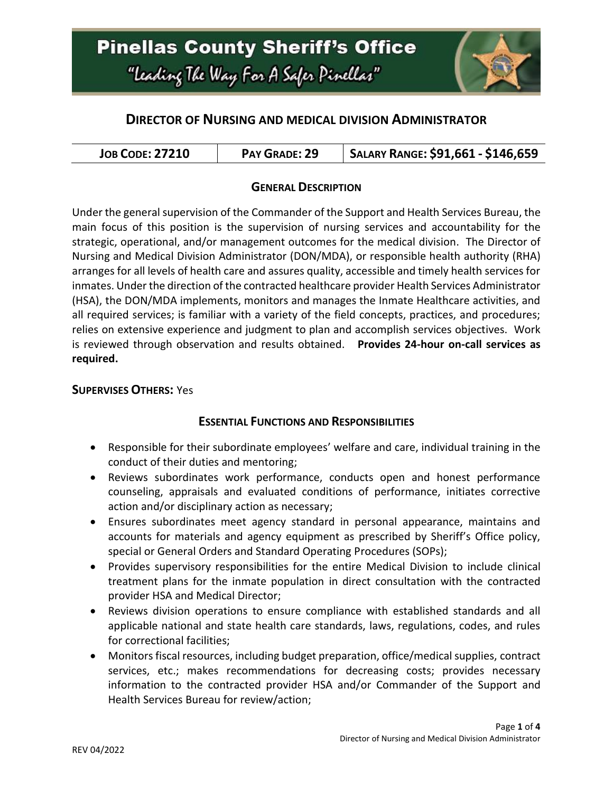

### **DIRECTOR OF NURSING AND MEDICAL DIVISION ADMINISTRATOR**

| <b>JOB CODE: 27210</b> | PAY GRADE: 29 | SALARY RANGE: \$91,661 - \$146,659 |
|------------------------|---------------|------------------------------------|
|------------------------|---------------|------------------------------------|

### **GENERAL DESCRIPTION**

Under the general supervision of the Commander of the Support and Health Services Bureau, the main focus of this position is the supervision of nursing services and accountability for the strategic, operational, and/or management outcomes for the medical division. The Director of Nursing and Medical Division Administrator (DON/MDA), or responsible health authority (RHA) arranges for all levels of health care and assures quality, accessible and timely health services for inmates. Under the direction of the contracted healthcare provider Health Services Administrator (HSA), the DON/MDA implements, monitors and manages the Inmate Healthcare activities, and all required services; is familiar with a variety of the field concepts, practices, and procedures; relies on extensive experience and judgment to plan and accomplish services objectives. Work is reviewed through observation and results obtained. **Provides 24-hour on-call services as required.**

### **SUPERVISES OTHERS:** Yes

### **ESSENTIAL FUNCTIONS AND RESPONSIBILITIES**

- Responsible for their subordinate employees' welfare and care, individual training in the conduct of their duties and mentoring;
- Reviews subordinates work performance, conducts open and honest performance counseling, appraisals and evaluated conditions of performance, initiates corrective action and/or disciplinary action as necessary;
- Ensures subordinates meet agency standard in personal appearance, maintains and accounts for materials and agency equipment as prescribed by Sheriff's Office policy, special or General Orders and Standard Operating Procedures (SOPs);
- Provides supervisory responsibilities for the entire Medical Division to include clinical treatment plans for the inmate population in direct consultation with the contracted provider HSA and Medical Director;
- Reviews division operations to ensure compliance with established standards and all applicable national and state health care standards, laws, regulations, codes, and rules for correctional facilities;
- Monitors fiscal resources, including budget preparation, office/medical supplies, contract services, etc.; makes recommendations for decreasing costs; provides necessary information to the contracted provider HSA and/or Commander of the Support and Health Services Bureau for review/action;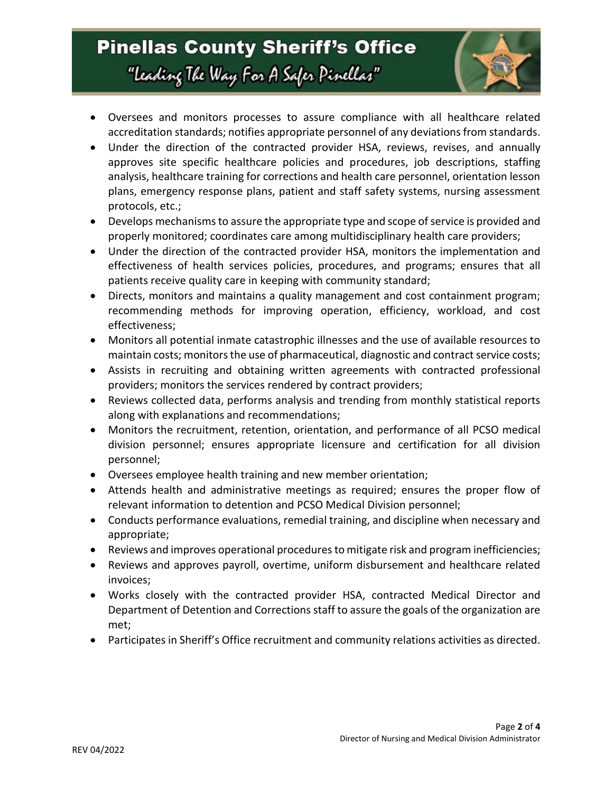## **Pinellas County Sheriff's Office** "Leading The Way For A Safer Pinellar"



- Oversees and monitors processes to assure compliance with all healthcare related accreditation standards; notifies appropriate personnel of any deviations from standards.
- Under the direction of the contracted provider HSA, reviews, revises, and annually approves site specific healthcare policies and procedures, job descriptions, staffing analysis, healthcare training for corrections and health care personnel, orientation lesson plans, emergency response plans, patient and staff safety systems, nursing assessment protocols, etc.;
- Develops mechanisms to assure the appropriate type and scope of service is provided and properly monitored; coordinates care among multidisciplinary health care providers;
- Under the direction of the contracted provider HSA, monitors the implementation and effectiveness of health services policies, procedures, and programs; ensures that all patients receive quality care in keeping with community standard;
- Directs, monitors and maintains a quality management and cost containment program; recommending methods for improving operation, efficiency, workload, and cost effectiveness;
- Monitors all potential inmate catastrophic illnesses and the use of available resources to maintain costs; monitors the use of pharmaceutical, diagnostic and contract service costs;
- Assists in recruiting and obtaining written agreements with contracted professional providers; monitors the services rendered by contract providers;
- Reviews collected data, performs analysis and trending from monthly statistical reports along with explanations and recommendations;
- Monitors the recruitment, retention, orientation, and performance of all PCSO medical division personnel; ensures appropriate licensure and certification for all division personnel;
- Oversees employee health training and new member orientation;
- Attends health and administrative meetings as required; ensures the proper flow of relevant information to detention and PCSO Medical Division personnel;
- Conducts performance evaluations, remedial training, and discipline when necessary and appropriate;
- Reviews and improves operational procedures to mitigate risk and program inefficiencies;
- Reviews and approves payroll, overtime, uniform disbursement and healthcare related invoices;
- Works closely with the contracted provider HSA, contracted Medical Director and Department of Detention and Corrections staff to assure the goals of the organization are met;
- Participates in Sheriff's Office recruitment and community relations activities as directed.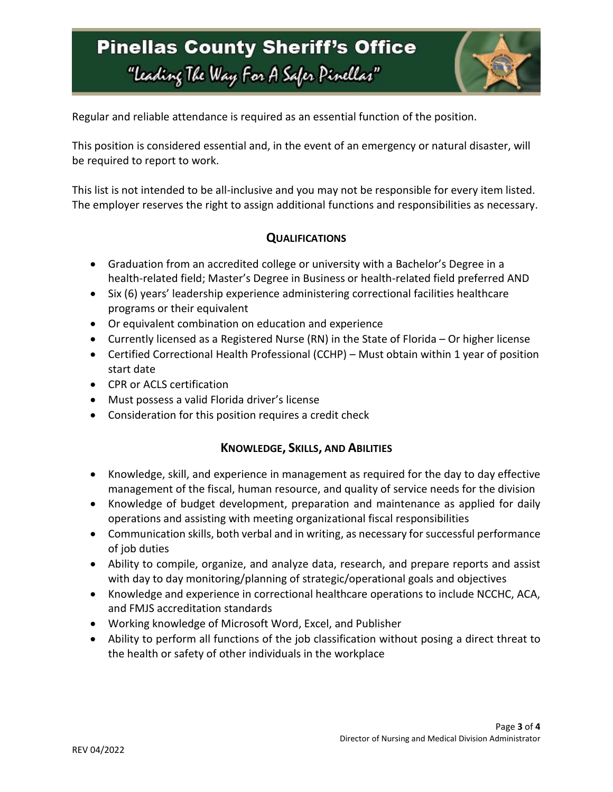# **Pinellas County Sheriff's Office** "Leading The Way For A Safer Pinellar"



Regular and reliable attendance is required as an essential function of the position.

This position is considered essential and, in the event of an emergency or natural disaster, will be required to report to work.

This list is not intended to be all-inclusive and you may not be responsible for every item listed. The employer reserves the right to assign additional functions and responsibilities as necessary.

### **QUALIFICATIONS**

- Graduation from an accredited college or university with a Bachelor's Degree in a health-related field; Master's Degree in Business or health-related field preferred AND
- Six (6) years' leadership experience administering correctional facilities healthcare programs or their equivalent
- Or equivalent combination on education and experience
- Currently licensed as a Registered Nurse (RN) in the State of Florida Or higher license
- Certified Correctional Health Professional (CCHP) Must obtain within 1 year of position start date
- CPR or ACLS certification
- Must possess a valid Florida driver's license
- Consideration for this position requires a credit check

#### **KNOWLEDGE, SKILLS, AND ABILITIES**

- Knowledge, skill, and experience in management as required for the day to day effective management of the fiscal, human resource, and quality of service needs for the division
- Knowledge of budget development, preparation and maintenance as applied for daily operations and assisting with meeting organizational fiscal responsibilities
- Communication skills, both verbal and in writing, as necessary for successful performance of job duties
- Ability to compile, organize, and analyze data, research, and prepare reports and assist with day to day monitoring/planning of strategic/operational goals and objectives
- Knowledge and experience in correctional healthcare operations to include NCCHC, ACA, and FMJS accreditation standards
- Working knowledge of Microsoft Word, Excel, and Publisher
- Ability to perform all functions of the job classification without posing a direct threat to the health or safety of other individuals in the workplace